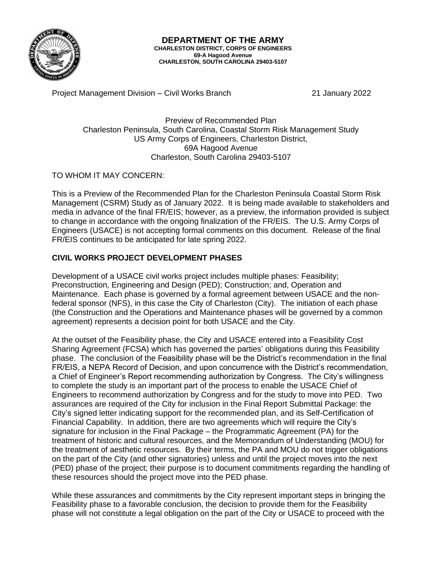

**DEPARTMENT OF THE ARMY CHARLESTON DISTRICT, CORPS OF ENGINEERS 69-A Hagood Avenue CHARLESTON, SOUTH CAROLINA 29403-5107**

Project Management Division – Civil Works Branch 21 January 2022

Preview of Recommended Plan Charleston Peninsula, South Carolina, Coastal Storm Risk Management Study US Army Corps of Engineers, Charleston District, 69A Hagood Avenue Charleston, South Carolina 29403-5107

## TO WHOM IT MAY CONCERN:

This is a Preview of the Recommended Plan for the Charleston Peninsula Coastal Storm Risk Management (CSRM) Study as of January 2022. It is being made available to stakeholders and media in advance of the final FR/EIS; however, as a preview, the information provided is subject to change in accordance with the ongoing finalization of the FR/EIS. The U.S. Army Corps of Engineers (USACE) is not accepting formal comments on this document. Release of the final FR/EIS continues to be anticipated for late spring 2022.

## **CIVIL WORKS PROJECT DEVELOPMENT PHASES**

Development of a USACE civil works project includes multiple phases: Feasibility; Preconstruction, Engineering and Design (PED); Construction; and, Operation and Maintenance. Each phase is governed by a formal agreement between USACE and the nonfederal sponsor (NFS), in this case the City of Charleston (City). The initiation of each phase (the Construction and the Operations and Maintenance phases will be governed by a common agreement) represents a decision point for both USACE and the City.

At the outset of the Feasibility phase, the City and USACE entered into a Feasibility Cost Sharing Agreement (FCSA) which has governed the parties' obligations during this Feasibility phase. The conclusion of the Feasibility phase will be the District's recommendation in the final FR/EIS, a NEPA Record of Decision, and upon concurrence with the District's recommendation, a Chief of Engineer's Report recommending authorization by Congress. The City's willingness to complete the study is an important part of the process to enable the USACE Chief of Engineers to recommend authorization by Congress and for the study to move into PED. Two assurances are required of the City for inclusion in the Final Report Submittal Package: the City's signed letter indicating support for the recommended plan, and its Self-Certification of Financial Capability. In addition, there are two agreements which will require the City's signature for inclusion in the Final Package – the Programmatic Agreement (PA) for the treatment of historic and cultural resources, and the Memorandum of Understanding (MOU) for the treatment of aesthetic resources. By their terms, the PA and MOU do not trigger obligations on the part of the City (and other signatories) unless and until the project moves into the next (PED) phase of the project; their purpose is to document commitments regarding the handling of these resources should the project move into the PED phase.

While these assurances and commitments by the City represent important steps in bringing the Feasibility phase to a favorable conclusion, the decision to provide them for the Feasibility phase will not constitute a legal obligation on the part of the City or USACE to proceed with the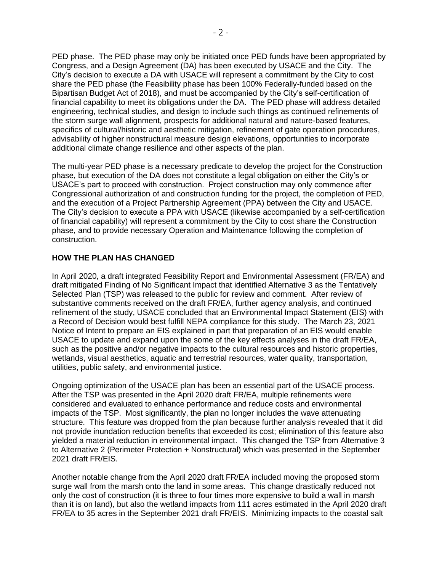PED phase. The PED phase may only be initiated once PED funds have been appropriated by Congress, and a Design Agreement (DA) has been executed by USACE and the City. The City's decision to execute a DA with USACE will represent a commitment by the City to cost share the PED phase (the Feasibility phase has been 100% Federally-funded based on the Bipartisan Budget Act of 2018), and must be accompanied by the City's self-certification of financial capability to meet its obligations under the DA. The PED phase will address detailed engineering, technical studies, and design to include such things as continued refinements of the storm surge wall alignment, prospects for additional natural and nature-based features, specifics of cultural/historic and aesthetic mitigation, refinement of gate operation procedures, advisability of higher nonstructural measure design elevations, opportunities to incorporate additional climate change resilience and other aspects of the plan.

The multi-year PED phase is a necessary predicate to develop the project for the Construction phase, but execution of the DA does not constitute a legal obligation on either the City's or USACE's part to proceed with construction. Project construction may only commence after Congressional authorization of and construction funding for the project, the completion of PED, and the execution of a Project Partnership Agreement (PPA) between the City and USACE. The City's decision to execute a PPA with USACE (likewise accompanied by a self-certification of financial capability) will represent a commitment by the City to cost share the Construction phase, and to provide necessary Operation and Maintenance following the completion of construction.

## **HOW THE PLAN HAS CHANGED**

In April 2020, a draft integrated Feasibility Report and Environmental Assessment (FR/EA) and draft mitigated Finding of No Significant Impact that identified Alternative 3 as the Tentatively Selected Plan (TSP) was released to the public for review and comment. After review of substantive comments received on the draft FR/EA, further agency analysis, and continued refinement of the study, USACE concluded that an Environmental Impact Statement (EIS) with a Record of Decision would best fulfill NEPA compliance for this study. The March 23, 2021 Notice of Intent to prepare an EIS explained in part that preparation of an EIS would enable USACE to update and expand upon the some of the key effects analyses in the draft FR/EA, such as the positive and/or negative impacts to the cultural resources and historic properties, wetlands, visual aesthetics, aquatic and terrestrial resources, water quality, transportation, utilities, public safety, and environmental justice.

Ongoing optimization of the USACE plan has been an essential part of the USACE process. After the TSP was presented in the April 2020 draft FR/EA, multiple refinements were considered and evaluated to enhance performance and reduce costs and environmental impacts of the TSP. Most significantly, the plan no longer includes the wave attenuating structure. This feature was dropped from the plan because further analysis revealed that it did not provide inundation reduction benefits that exceeded its cost; elimination of this feature also yielded a material reduction in environmental impact. This changed the TSP from Alternative 3 to Alternative 2 (Perimeter Protection + Nonstructural) which was presented in the September 2021 draft FR/EIS.

Another notable change from the April 2020 draft FR/EA included moving the proposed storm surge wall from the marsh onto the land in some areas. This change drastically reduced not only the cost of construction (it is three to four times more expensive to build a wall in marsh than it is on land), but also the wetland impacts from 111 acres estimated in the April 2020 draft FR/EA to 35 acres in the September 2021 draft FR/EIS. Minimizing impacts to the coastal salt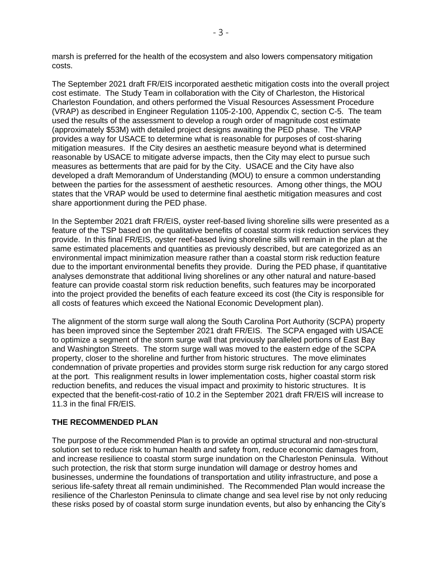marsh is preferred for the health of the ecosystem and also lowers compensatory mitigation costs.

The September 2021 draft FR/EIS incorporated aesthetic mitigation costs into the overall project cost estimate. The Study Team in collaboration with the City of Charleston, the Historical Charleston Foundation, and others performed the Visual Resources Assessment Procedure (VRAP) as described in Engineer Regulation 1105-2-100, Appendix C, section C-5. The team used the results of the assessment to develop a rough order of magnitude cost estimate (approximately \$53M) with detailed project designs awaiting the PED phase. The VRAP provides a way for USACE to determine what is reasonable for purposes of cost-sharing mitigation measures. If the City desires an aesthetic measure beyond what is determined reasonable by USACE to mitigate adverse impacts, then the City may elect to pursue such measures as betterments that are paid for by the City. USACE and the City have also developed a draft Memorandum of Understanding (MOU) to ensure a common understanding between the parties for the assessment of aesthetic resources. Among other things, the MOU states that the VRAP would be used to determine final aesthetic mitigation measures and cost share apportionment during the PED phase.

In the September 2021 draft FR/EIS, oyster reef-based living shoreline sills were presented as a feature of the TSP based on the qualitative benefits of coastal storm risk reduction services they provide. In this final FR/EIS, oyster reef-based living shoreline sills will remain in the plan at the same estimated placements and quantities as previously described, but are categorized as an environmental impact minimization measure rather than a coastal storm risk reduction feature due to the important environmental benefits they provide. During the PED phase, if quantitative analyses demonstrate that additional living shorelines or any other natural and nature-based feature can provide coastal storm risk reduction benefits, such features may be incorporated into the project provided the benefits of each feature exceed its cost (the City is responsible for all costs of features which exceed the National Economic Development plan).

The alignment of the storm surge wall along the South Carolina Port Authority (SCPA) property has been improved since the September 2021 draft FR/EIS. The SCPA engaged with USACE to optimize a segment of the storm surge wall that previously paralleled portions of East Bay and Washington Streets. The storm surge wall was moved to the eastern edge of the SCPA property, closer to the shoreline and further from historic structures. The move eliminates condemnation of private properties and provides storm surge risk reduction for any cargo stored at the port. This realignment results in lower implementation costs, higher coastal storm risk reduction benefits, and reduces the visual impact and proximity to historic structures. It is expected that the benefit-cost-ratio of 10.2 in the September 2021 draft FR/EIS will increase to 11.3 in the final FR/EIS.

## **THE RECOMMENDED PLAN**

The purpose of the Recommended Plan is to provide an optimal structural and non-structural solution set to reduce risk to human health and safety from, reduce economic damages from, and increase resilience to coastal storm surge inundation on the Charleston Peninsula. Without such protection, the risk that storm surge inundation will damage or destroy homes and businesses, undermine the foundations of transportation and utility infrastructure, and pose a serious life-safety threat all remain undiminished. The Recommended Plan would increase the resilience of the Charleston Peninsula to climate change and sea level rise by not only reducing these risks posed by of coastal storm surge inundation events, but also by enhancing the City's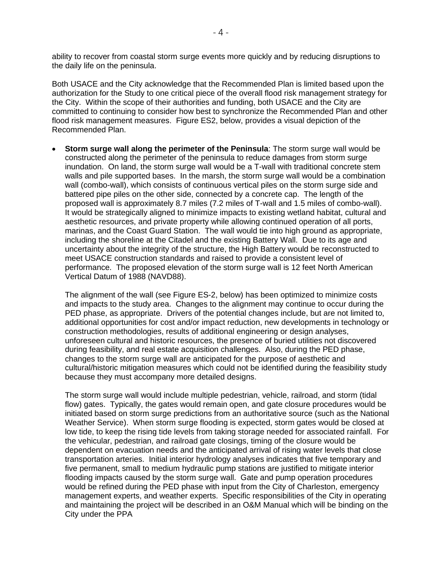ability to recover from coastal storm surge events more quickly and by reducing disruptions to the daily life on the peninsula.

Both USACE and the City acknowledge that the Recommended Plan is limited based upon the authorization for the Study to one critical piece of the overall flood risk management strategy for the City. Within the scope of their authorities and funding, both USACE and the City are committed to continuing to consider how best to synchronize the Recommended Plan and other flood risk management measures. Figure ES2, below, provides a visual depiction of the Recommended Plan.

• **Storm surge wall along the perimeter of the Peninsula**: The storm surge wall would be constructed along the perimeter of the peninsula to reduce damages from storm surge inundation. On land, the storm surge wall would be a T-wall with traditional concrete stem walls and pile supported bases. In the marsh, the storm surge wall would be a combination wall (combo-wall), which consists of continuous vertical piles on the storm surge side and battered pipe piles on the other side, connected by a concrete cap. The length of the proposed wall is approximately 8.7 miles (7.2 miles of T-wall and 1.5 miles of combo-wall). It would be strategically aligned to minimize impacts to existing wetland habitat, cultural and aesthetic resources, and private property while allowing continued operation of all ports, marinas, and the Coast Guard Station. The wall would tie into high ground as appropriate, including the shoreline at the Citadel and the existing Battery Wall. Due to its age and uncertainty about the integrity of the structure, the High Battery would be reconstructed to meet USACE construction standards and raised to provide a consistent level of performance. The proposed elevation of the storm surge wall is 12 feet North American Vertical Datum of 1988 (NAVD88).

The alignment of the wall (see Figure ES-2, below) has been optimized to minimize costs and impacts to the study area. Changes to the alignment may continue to occur during the PED phase, as appropriate. Drivers of the potential changes include, but are not limited to, additional opportunities for cost and/or impact reduction, new developments in technology or construction methodologies, results of additional engineering or design analyses, unforeseen cultural and historic resources, the presence of buried utilities not discovered during feasibility, and real estate acquisition challenges. Also, during the PED phase, changes to the storm surge wall are anticipated for the purpose of aesthetic and cultural/historic mitigation measures which could not be identified during the feasibility study because they must accompany more detailed designs.

The storm surge wall would include multiple pedestrian, vehicle, railroad, and storm (tidal flow) gates. Typically, the gates would remain open, and gate closure procedures would be initiated based on storm surge predictions from an authoritative source (such as the National Weather Service). When storm surge flooding is expected, storm gates would be closed at low tide, to keep the rising tide levels from taking storage needed for associated rainfall. For the vehicular, pedestrian, and railroad gate closings, timing of the closure would be dependent on evacuation needs and the anticipated arrival of rising water levels that close transportation arteries. Initial interior hydrology analyses indicates that five temporary and five permanent, small to medium hydraulic pump stations are justified to mitigate interior flooding impacts caused by the storm surge wall. Gate and pump operation procedures would be refined during the PED phase with input from the City of Charleston, emergency management experts, and weather experts. Specific responsibilities of the City in operating and maintaining the project will be described in an O&M Manual which will be binding on the City under the PPA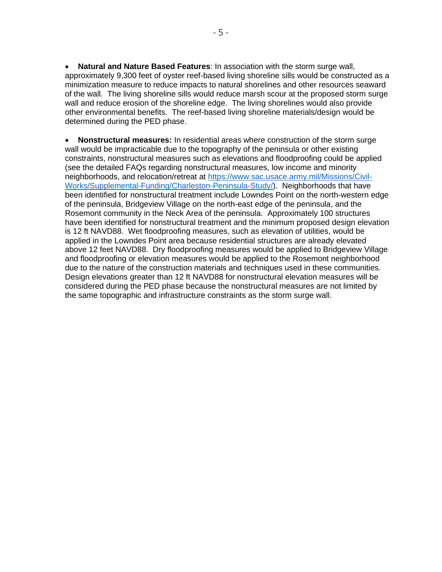• **Natural and Nature Based Features**: In association with the storm surge wall, approximately 9,300 feet of oyster reef-based living shoreline sills would be constructed as a minimization measure to reduce impacts to natural shorelines and other resources seaward of the wall. The living shoreline sills would reduce marsh scour at the proposed storm surge wall and reduce erosion of the shoreline edge. The living shorelines would also provide other environmental benefits. The reef-based living shoreline materials/design would be determined during the PED phase.

• **Nonstructural measures:** In residential areas where construction of the storm surge wall would be impracticable due to the topography of the peninsula or other existing constraints, nonstructural measures such as elevations and floodproofing could be applied (see the detailed FAQs regarding nonstructural measures, low income and minority neighborhoods, and relocation/retreat at [https://www.sac.usace.army.mil/Missions/Civil-](https://www.sac.usace.army.mil/Missions/Civil-Works/Supplemental-Funding/Charleston-Peninsula-Study/)[Works/Supplemental-Funding/Charleston-Peninsula-Study/\)](https://www.sac.usace.army.mil/Missions/Civil-Works/Supplemental-Funding/Charleston-Peninsula-Study/). Neighborhoods that have been identified for nonstructural treatment include Lowndes Point on the north-western edge of the peninsula, Bridgeview Village on the north-east edge of the peninsula, and the Rosemont community in the Neck Area of the peninsula. Approximately 100 structures have been identified for nonstructural treatment and the minimum proposed design elevation is 12 ft NAVD88. Wet floodproofing measures, such as elevation of utilities, would be applied in the Lowndes Point area because residential structures are already elevated above 12 feet NAVD88. Dry floodproofing measures would be applied to Bridgeview Village and floodproofing or elevation measures would be applied to the Rosemont neighborhood due to the nature of the construction materials and techniques used in these communities. Design elevations greater than 12 ft NAVD88 for nonstructural elevation measures will be considered during the PED phase because the nonstructural measures are not limited by the same topographic and infrastructure constraints as the storm surge wall.